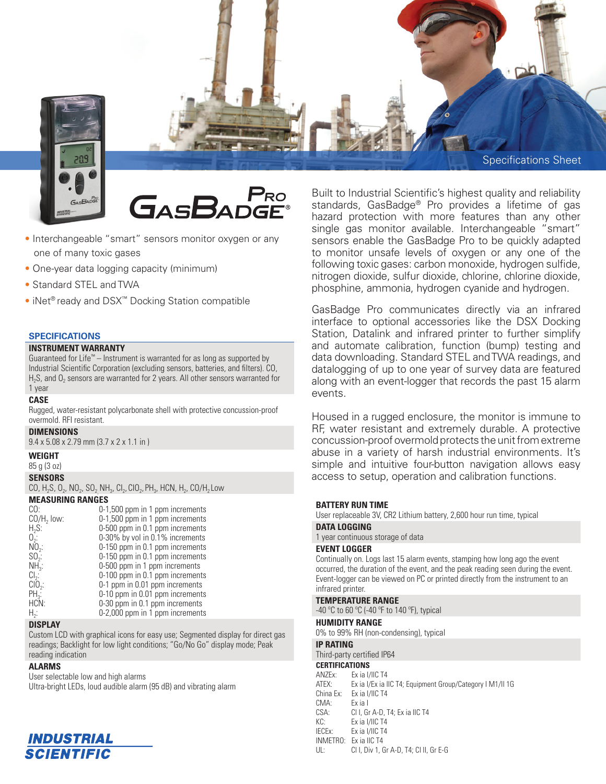

- Interchangeable "smart" sensors monitor oxygen or any one of many toxic gases
- One-year data logging capacity (minimum)
- Standard STEL and TWA
- iNet® ready and DSX™ Docking Station compatible

#### **SPECIFICATIONS**

# **INSTRUMENT WARRANTY**

Guaranteed for Life™ – Instrument is warranted for as long as supported by Industrial Scientific Corporation (excluding sensors, batteries, and filters). CO,  $H_2S$ , and  $O_2$  sensors are warranted for 2 years. All other sensors warranted for 1 year

#### **CASE**

Rugged, water-resistant polycarbonate shell with protective concussion-proof overmold. RFI resistant.

## **DIMENSIONS**

9.4 x 5.08 x 2.79 mm (3.7 x 2 x 1.1 in )

**WEIGHT**

85 g (3 oz)

#### **SENSORS**

CO, H<sub>2</sub>S, O<sub>2</sub>, NO<sub>2</sub>, SO<sub>2,</sub> NH<sub>3</sub>, Cl<sub>2</sub>, CIO<sub>2</sub>, PH<sub>3</sub>, HCN, H<sub>2</sub>, CO/H<sub>2</sub> Low

#### **MEASURING RANGES**

| CO:                 | 0-1,500 ppm in 1 ppm increments |
|---------------------|---------------------------------|
| $CO/H2$ low:        | 0-1,500 ppm in 1 ppm increments |
| $H2S$ :             | 0-500 ppm in 0.1 ppm increments |
| $0$ .               | 0-30% by vol in 0.1% increments |
| $N0$ <sub>2</sub> : | 0-150 ppm in 0.1 ppm increments |
| $SO2$ :             | 0-150 ppm in 0.1 ppm increments |
| $NH3$ :             | 0-500 ppm in 1 ppm increments   |
| $Cl2$ :             | 0-100 ppm in 0.1 ppm increments |
| $ClO2$ :            | 0-1 ppm in 0.01 ppm increments  |
| $PH_{2}$ :          | 0-10 ppm in 0.01 ppm increments |
| HCN:                | 0-30 ppm in 0.1 ppm increments  |
| $H_2$ :             | 0-2,000 ppm in 1 ppm increments |

#### **DISPLAY**

Custom LCD with graphical icons for easy use; Segmented display for direct gas readings; Backlight for low light conditions; "Go/No Go" display mode; Peak reading indication

### **ALARMS**

User selectable low and high alarms

Ultra-bright LEDs, loud audible alarm (95 dB) and vibrating alarm



hazard protection with more features than any other single gas monitor available. Interchangeable "smart" sensors enable the GasBadge Pro to be quickly adapted to monitor unsafe levels of oxygen or any one of the following toxic gases: carbon monoxide, hydrogen sulfide, nitrogen dioxide, sulfur dioxide, chlorine, chlorine dioxide, phosphine, ammonia, hydrogen cyanide and hydrogen.

GasBadge Pro communicates directly via an infrared interface to optional accessories like the DSX Docking Station, Datalink and infrared printer to further simplify and automate calibration, function (bump) testing and data downloading. Standard STEL and TWA readings, and datalogging of up to one year of survey data are featured along with an event-logger that records the past 15 alarm events.

Housed in a rugged enclosure, the monitor is immune to RF, water resistant and extremely durable. A protective concussion-proof overmold protects the unit from extreme abuse in a variety of harsh industrial environments. It's simple and intuitive four-button navigation allows easy access to setup, operation and calibration functions.

#### **BATTERY RUN TIME**

User replaceable 3V, CR2 Lithium battery, 2,600 hour run time, typical

## **DATA LOGGING**

1 year continuous storage of data

## **EVENT LOGGER**

Continually on. Logs last 15 alarm events, stamping how long ago the event occurred, the duration of the event, and the peak reading seen during the event. Event-logger can be viewed on PC or printed directly from the instrument to an infrared printer.

#### **TEMPERATURE RANGE**

-40 ºC to 60 ºC (-40 ºF to 140 ºF), typical

# **HUMIDITY RANGE**

0% to 99% RH (non-condensing), typical

#### **IP RATING**

Third-party certified IP64

# **CERTIFICATIONS**<br>ANZEx: Ex ia I/

Ex ia I/IIC T4 ATEX: Ex ia I/Ex ia IIC T4; Equipment Group/Category I M1/II 1G China Ex: Ex ia I/IIC T4 CMA: Ex ia I CSA: Cl I, Gr A-D, T4; Ex ia IIC T4 KC: Ex ia I/IIC T4 IECEx: Ex ia I/IIC T4 INMETRO: Ex ia IIC T4 UL: Cl I, Div 1, Gr A-D, T4; Cl II, Gr E-G